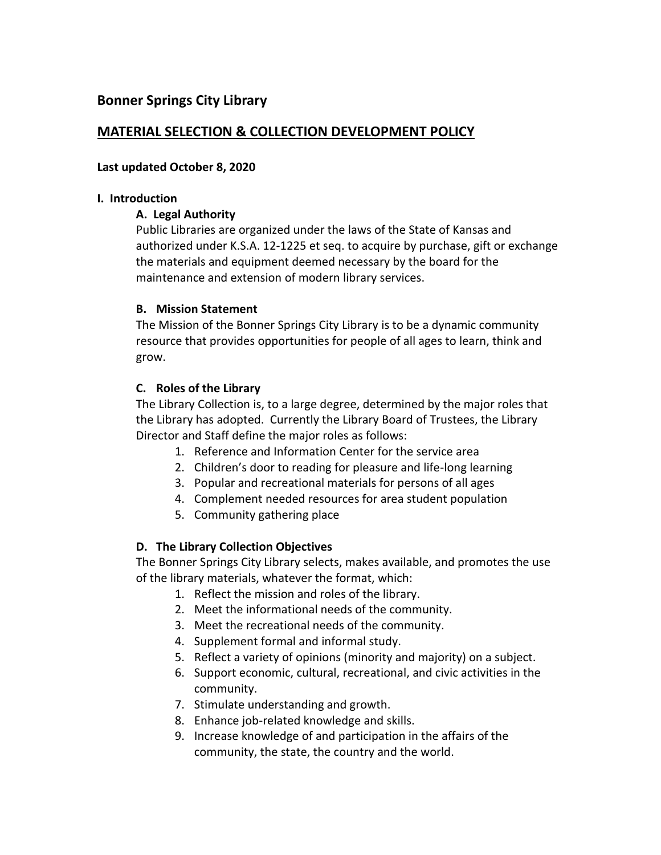# **Bonner Springs City Library**

# **MATERIAL SELECTION & COLLECTION DEVELOPMENT POLICY**

### **Last updated October 8, 2020**

### **I. Introduction**

### **A. Legal Authority**

Public Libraries are organized under the laws of the State of Kansas and authorized under K.S.A. 12-1225 et seq. to acquire by purchase, gift or exchange the materials and equipment deemed necessary by the board for the maintenance and extension of modern library services.

### **B. Mission Statement**

The Mission of the Bonner Springs City Library is to be a dynamic community resource that provides opportunities for people of all ages to learn, think and grow.

### **C. Roles of the Library**

The Library Collection is, to a large degree, determined by the major roles that the Library has adopted. Currently the Library Board of Trustees, the Library Director and Staff define the major roles as follows:

- 1. Reference and Information Center for the service area
- 2. Children's door to reading for pleasure and life-long learning
- 3. Popular and recreational materials for persons of all ages
- 4. Complement needed resources for area student population
- 5. Community gathering place

## **D. The Library Collection Objectives**

The Bonner Springs City Library selects, makes available, and promotes the use of the library materials, whatever the format, which:

- 1. Reflect the mission and roles of the library.
- 2. Meet the informational needs of the community.
- 3. Meet the recreational needs of the community.
- 4. Supplement formal and informal study.
- 5. Reflect a variety of opinions (minority and majority) on a subject.
- 6. Support economic, cultural, recreational, and civic activities in the community.
- 7. Stimulate understanding and growth.
- 8. Enhance job-related knowledge and skills.
- 9. Increase knowledge of and participation in the affairs of the community, the state, the country and the world.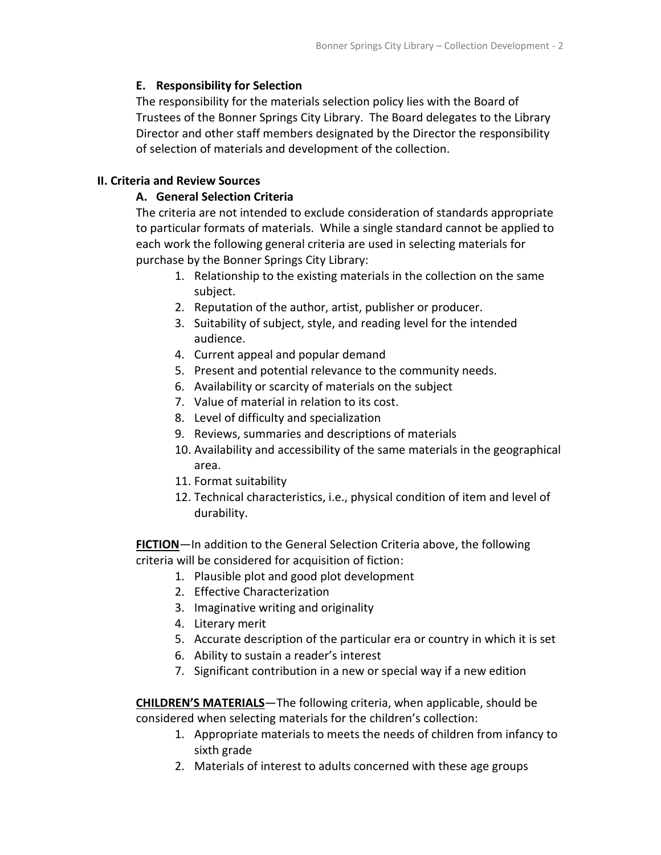## **E. Responsibility for Selection**

The responsibility for the materials selection policy lies with the Board of Trustees of the Bonner Springs City Library. The Board delegates to the Library Director and other staff members designated by the Director the responsibility of selection of materials and development of the collection.

## **II. Criteria and Review Sources**

## **A. General Selection Criteria**

The criteria are not intended to exclude consideration of standards appropriate to particular formats of materials. While a single standard cannot be applied to each work the following general criteria are used in selecting materials for purchase by the Bonner Springs City Library:

- 1. Relationship to the existing materials in the collection on the same subject.
- 2. Reputation of the author, artist, publisher or producer.
- 3. Suitability of subject, style, and reading level for the intended audience.
- 4. Current appeal and popular demand
- 5. Present and potential relevance to the community needs.
- 6. Availability or scarcity of materials on the subject
- 7. Value of material in relation to its cost.
- 8. Level of difficulty and specialization
- 9. Reviews, summaries and descriptions of materials
- 10. Availability and accessibility of the same materials in the geographical area.
- 11. Format suitability
- 12. Technical characteristics, i.e., physical condition of item and level of durability.

**FICTION**—In addition to the General Selection Criteria above, the following criteria will be considered for acquisition of fiction:

- 1. Plausible plot and good plot development
- 2. Effective Characterization
- 3. Imaginative writing and originality
- 4. Literary merit
- 5. Accurate description of the particular era or country in which it is set
- 6. Ability to sustain a reader's interest
- 7. Significant contribution in a new or special way if a new edition

**CHILDREN'S MATERIALS**—The following criteria, when applicable, should be considered when selecting materials for the children's collection:

- 1. Appropriate materials to meets the needs of children from infancy to sixth grade
- 2. Materials of interest to adults concerned with these age groups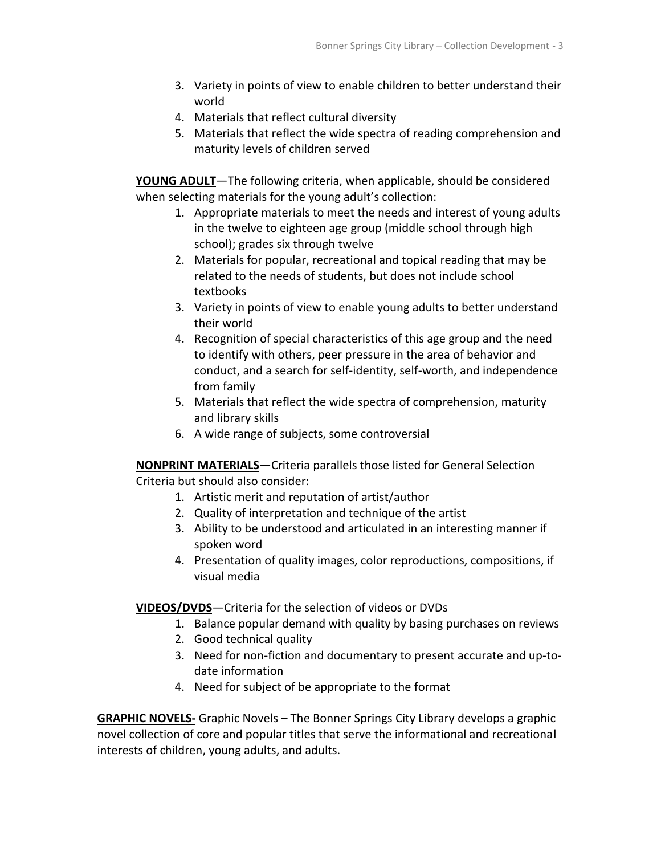- 3. Variety in points of view to enable children to better understand their world
- 4. Materials that reflect cultural diversity
- 5. Materials that reflect the wide spectra of reading comprehension and maturity levels of children served

**YOUNG ADULT**—The following criteria, when applicable, should be considered when selecting materials for the young adult's collection:

- 1. Appropriate materials to meet the needs and interest of young adults in the twelve to eighteen age group (middle school through high school); grades six through twelve
- 2. Materials for popular, recreational and topical reading that may be related to the needs of students, but does not include school textbooks
- 3. Variety in points of view to enable young adults to better understand their world
- 4. Recognition of special characteristics of this age group and the need to identify with others, peer pressure in the area of behavior and conduct, and a search for self-identity, self-worth, and independence from family
- 5. Materials that reflect the wide spectra of comprehension, maturity and library skills
- 6. A wide range of subjects, some controversial

**NONPRINT MATERIALS**—Criteria parallels those listed for General Selection Criteria but should also consider:

- 1. Artistic merit and reputation of artist/author
- 2. Quality of interpretation and technique of the artist
- 3. Ability to be understood and articulated in an interesting manner if spoken word
- 4. Presentation of quality images, color reproductions, compositions, if visual media

**VIDEOS/DVDS**—Criteria for the selection of videos or DVDs

- 1. Balance popular demand with quality by basing purchases on reviews
- 2. Good technical quality
- 3. Need for non-fiction and documentary to present accurate and up-todate information
- 4. Need for subject of be appropriate to the format

**GRAPHIC NOVELS-** Graphic Novels – The Bonner Springs City Library develops a graphic novel collection of core and popular titles that serve the informational and recreational interests of children, young adults, and adults.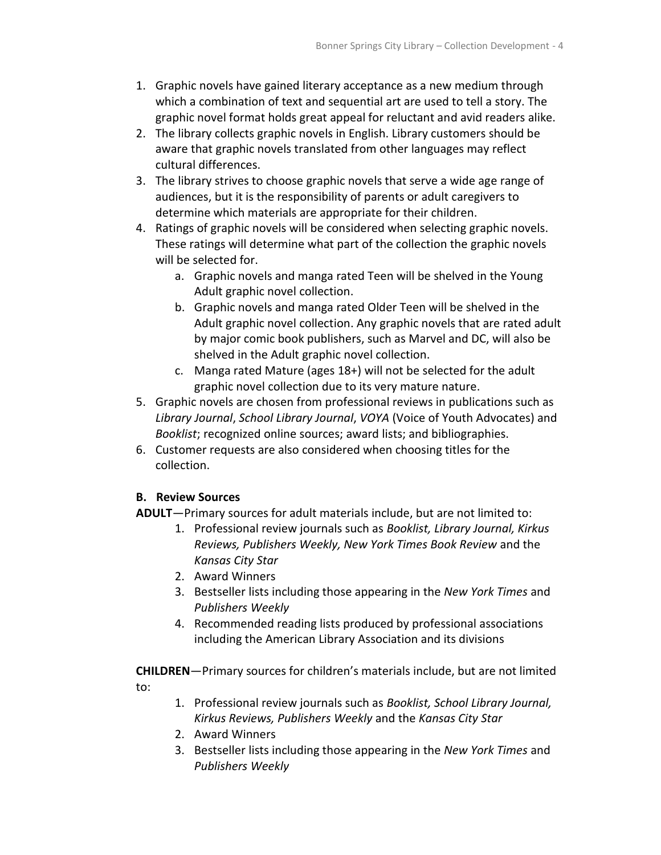- 1. Graphic novels have gained literary acceptance as a new medium through which a combination of text and sequential art are used to tell a story. The graphic novel format holds great appeal for reluctant and avid readers alike.
- 2. The library collects graphic novels in English. Library customers should be aware that graphic novels translated from other languages may reflect cultural differences.
- 3. The library strives to choose graphic novels that serve a wide age range of audiences, but it is the responsibility of parents or adult caregivers to determine which materials are appropriate for their children.
- 4. Ratings of graphic novels will be considered when selecting graphic novels. These ratings will determine what part of the collection the graphic novels will be selected for.
	- a. Graphic novels and manga rated Teen will be shelved in the Young Adult graphic novel collection.
	- b. Graphic novels and manga rated Older Teen will be shelved in the Adult graphic novel collection. Any graphic novels that are rated adult by major comic book publishers, such as Marvel and DC, will also be shelved in the Adult graphic novel collection.
	- c. Manga rated Mature (ages 18+) will not be selected for the adult graphic novel collection due to its very mature nature.
- 5. Graphic novels are chosen from professional reviews in publications such as *Library Journal*, *School Library Journal*, *VOYA* (Voice of Youth Advocates) and *Booklist*; recognized online sources; award lists; and bibliographies.
- 6. Customer requests are also considered when choosing titles for the collection.

# **B. Review Sources**

- **ADULT**—Primary sources for adult materials include, but are not limited to:
	- 1. Professional review journals such as *Booklist, Library Journal, Kirkus Reviews, Publishers Weekly, New York Times Book Review* and the *Kansas City Star*
	- 2. Award Winners
	- 3. Bestseller lists including those appearing in the *New York Times* and *Publishers Weekly*
	- 4. Recommended reading lists produced by professional associations including the American Library Association and its divisions

**CHILDREN**—Primary sources for children's materials include, but are not limited to:

- 1. Professional review journals such as *Booklist, School Library Journal, Kirkus Reviews, Publishers Weekly* and the *Kansas City Star*
- 2. Award Winners
- 3. Bestseller lists including those appearing in the *New York Times* and *Publishers Weekly*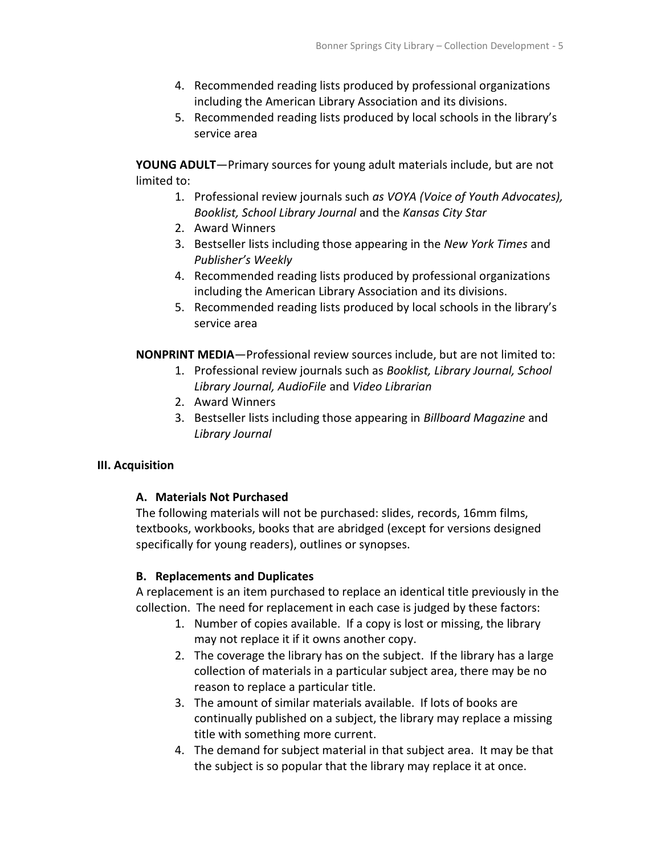- 4. Recommended reading lists produced by professional organizations including the American Library Association and its divisions.
- 5. Recommended reading lists produced by local schools in the library's service area

**YOUNG ADULT**—Primary sources for young adult materials include, but are not limited to:

- 1. Professional review journals such *as VOYA (Voice of Youth Advocates), Booklist, School Library Journal* and the *Kansas City Star*
- 2. Award Winners
- 3. Bestseller lists including those appearing in the *New York Times* and *Publisher's Weekly*
- 4. Recommended reading lists produced by professional organizations including the American Library Association and its divisions.
- 5. Recommended reading lists produced by local schools in the library's service area

**NONPRINT MEDIA**—Professional review sources include, but are not limited to:

- 1. Professional review journals such as *Booklist, Library Journal, School Library Journal, AudioFile* and *Video Librarian*
- 2. Award Winners
- 3. Bestseller lists including those appearing in *Billboard Magazine* and *Library Journal*

# **III. Acquisition**

## **A. Materials Not Purchased**

The following materials will not be purchased: slides, records, 16mm films, textbooks, workbooks, books that are abridged (except for versions designed specifically for young readers), outlines or synopses.

# **B. Replacements and Duplicates**

A replacement is an item purchased to replace an identical title previously in the collection. The need for replacement in each case is judged by these factors:

- 1. Number of copies available. If a copy is lost or missing, the library may not replace it if it owns another copy.
- 2. The coverage the library has on the subject. If the library has a large collection of materials in a particular subject area, there may be no reason to replace a particular title.
- 3. The amount of similar materials available. If lots of books are continually published on a subject, the library may replace a missing title with something more current.
- 4. The demand for subject material in that subject area. It may be that the subject is so popular that the library may replace it at once.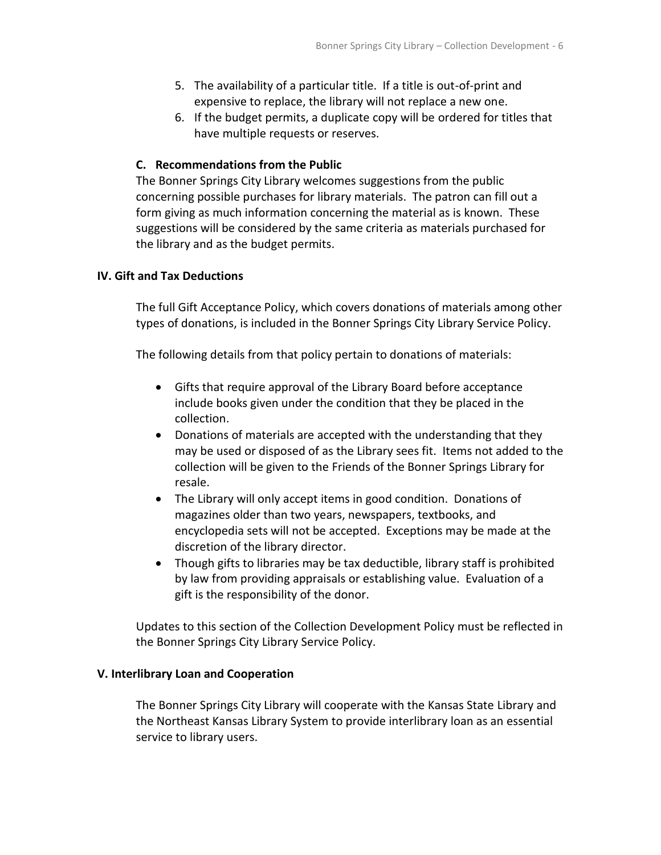- 5. The availability of a particular title. If a title is out-of-print and expensive to replace, the library will not replace a new one.
- 6. If the budget permits, a duplicate copy will be ordered for titles that have multiple requests or reserves.

### **C. Recommendations from the Public**

The Bonner Springs City Library welcomes suggestions from the public concerning possible purchases for library materials. The patron can fill out a form giving as much information concerning the material as is known. These suggestions will be considered by the same criteria as materials purchased for the library and as the budget permits.

#### **IV. Gift and Tax Deductions**

The full Gift Acceptance Policy, which covers donations of materials among other types of donations, is included in the Bonner Springs City Library Service Policy.

The following details from that policy pertain to donations of materials:

- Gifts that require approval of the Library Board before acceptance include books given under the condition that they be placed in the collection.
- Donations of materials are accepted with the understanding that they may be used or disposed of as the Library sees fit. Items not added to the collection will be given to the Friends of the Bonner Springs Library for resale.
- The Library will only accept items in good condition. Donations of magazines older than two years, newspapers, textbooks, and encyclopedia sets will not be accepted. Exceptions may be made at the discretion of the library director.
- Though gifts to libraries may be tax deductible, library staff is prohibited by law from providing appraisals or establishing value. Evaluation of a gift is the responsibility of the donor.

Updates to this section of the Collection Development Policy must be reflected in the Bonner Springs City Library Service Policy.

#### **V. Interlibrary Loan and Cooperation**

The Bonner Springs City Library will cooperate with the Kansas State Library and the Northeast Kansas Library System to provide interlibrary loan as an essential service to library users.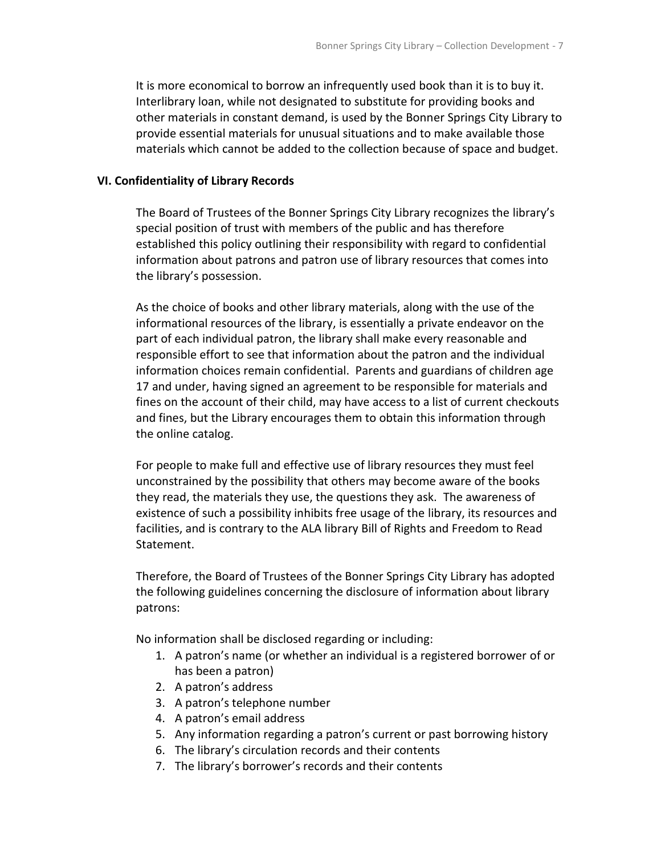It is more economical to borrow an infrequently used book than it is to buy it. Interlibrary loan, while not designated to substitute for providing books and other materials in constant demand, is used by the Bonner Springs City Library to provide essential materials for unusual situations and to make available those materials which cannot be added to the collection because of space and budget.

### **VI. Confidentiality of Library Records**

The Board of Trustees of the Bonner Springs City Library recognizes the library's special position of trust with members of the public and has therefore established this policy outlining their responsibility with regard to confidential information about patrons and patron use of library resources that comes into the library's possession.

As the choice of books and other library materials, along with the use of the informational resources of the library, is essentially a private endeavor on the part of each individual patron, the library shall make every reasonable and responsible effort to see that information about the patron and the individual information choices remain confidential. Parents and guardians of children age 17 and under, having signed an agreement to be responsible for materials and fines on the account of their child, may have access to a list of current checkouts and fines, but the Library encourages them to obtain this information through the online catalog.

For people to make full and effective use of library resources they must feel unconstrained by the possibility that others may become aware of the books they read, the materials they use, the questions they ask. The awareness of existence of such a possibility inhibits free usage of the library, its resources and facilities, and is contrary to the ALA library Bill of Rights and Freedom to Read Statement.

Therefore, the Board of Trustees of the Bonner Springs City Library has adopted the following guidelines concerning the disclosure of information about library patrons:

No information shall be disclosed regarding or including:

- 1. A patron's name (or whether an individual is a registered borrower of or has been a patron)
- 2. A patron's address
- 3. A patron's telephone number
- 4. A patron's email address
- 5. Any information regarding a patron's current or past borrowing history
- 6. The library's circulation records and their contents
- 7. The library's borrower's records and their contents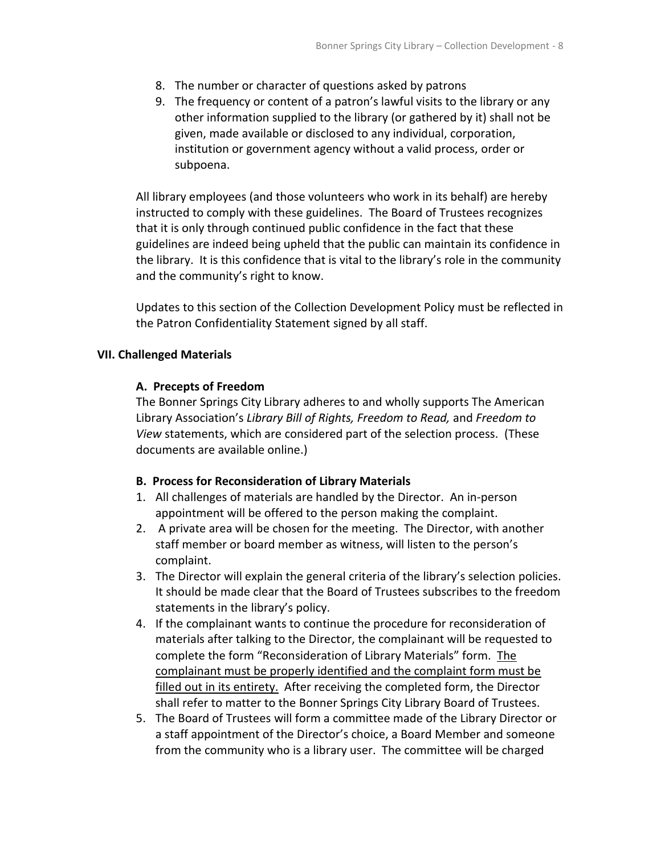- 8. The number or character of questions asked by patrons
- 9. The frequency or content of a patron's lawful visits to the library or any other information supplied to the library (or gathered by it) shall not be given, made available or disclosed to any individual, corporation, institution or government agency without a valid process, order or subpoena.

All library employees (and those volunteers who work in its behalf) are hereby instructed to comply with these guidelines. The Board of Trustees recognizes that it is only through continued public confidence in the fact that these guidelines are indeed being upheld that the public can maintain its confidence in the library. It is this confidence that is vital to the library's role in the community and the community's right to know.

Updates to this section of the Collection Development Policy must be reflected in the Patron Confidentiality Statement signed by all staff.

#### **VII. Challenged Materials**

#### **A. Precepts of Freedom**

The Bonner Springs City Library adheres to and wholly supports The American Library Association's *Library Bill of Rights, Freedom to Read,* and *Freedom to View* statements, which are considered part of the selection process. (These documents are available online.)

### **B. Process for Reconsideration of Library Materials**

- 1. All challenges of materials are handled by the Director. An in-person appointment will be offered to the person making the complaint.
- 2. A private area will be chosen for the meeting. The Director, with another staff member or board member as witness, will listen to the person's complaint.
- 3. The Director will explain the general criteria of the library's selection policies. It should be made clear that the Board of Trustees subscribes to the freedom statements in the library's policy.
- 4. If the complainant wants to continue the procedure for reconsideration of materials after talking to the Director, the complainant will be requested to complete the form "Reconsideration of Library Materials" form. The complainant must be properly identified and the complaint form must be filled out in its entirety. After receiving the completed form, the Director shall refer to matter to the Bonner Springs City Library Board of Trustees.
- 5. The Board of Trustees will form a committee made of the Library Director or a staff appointment of the Director's choice, a Board Member and someone from the community who is a library user. The committee will be charged